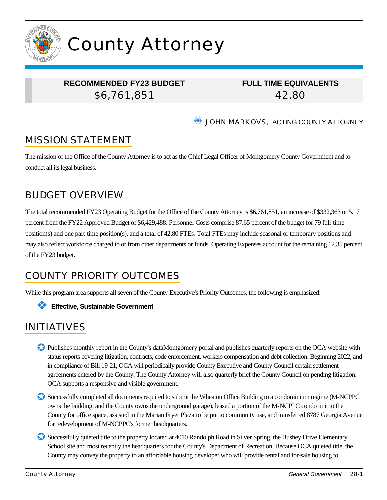

# County Attorney

## **RECOMMENDED FY23 BUDGET**

\$6,761,851

**FULL TIME EQUIVALENTS** 42.80

**WE JOHN MARKOVS, ACTING COUNTY ATTORNEY** 

## MISSION STATEMENT

The mission of the Office of the County Attorney is to act as the Chief Legal Officer of Montgomery County Government and to conduct all its legal business.

## BUDGET OVERVIEW

The total recommended FY23 Operating Budget for the Office of the County Attorney is \$6,761,851, an increase of \$332,363 or 5.17 percent from the FY22 Approved Budget of \$6,429,488. Personnel Costs comprise 87.65 percent of the budget for 79 full-time position(s) and one part-time position(s), and a total of 42.80 FTEs. Total FTEs may include seasonal or temporary positions and may also reflect workforce charged to or from other departments or funds. Operating Expenses account for the remaining 12.35 percent of the FY23 budget.

## COUNTY PRIORITY OUTCOMES

While this program area supports all seven of the County Executive's Priority Outcomes, the following is emphasized:

#### ❖ **Effective, Sustainable Government**

## INITIATIVES

- ✪ Publishes monthly report in the County's dataMontgomery portal and publishes quarterly reports on the OCA website with status reports covering litigation, contracts, code enforcement, workers compensation and debt collection. Beginning 2022, and in compliance of Bill 19-21, OCA will periodically provide County Executive and County Council certain settlement agreements entered by the County. The County Attorney will also quarterly brief the County Council on pending litigation. OCA supports a responsive and visible government.
- ✪ Successfully completed all documents required to submit the Wheaton Office Building to a condominium regime (M-NCPPC owns the building, and the County owns the underground garage), leased a portion of the M-NCPPC condo unit to the County for office space, assisted in the Marian Fryer Plaza to be put to community use, and transferred 8787 Georgia Avenue for redevelopment of M-NCPPC's former headquarters.
- Successfully quieted title to the property located at 4010 Randolph Road in Silver Spring, the Bushey Drive Elementary School site and most recently the headquarters for the County's Department of Recreation. Because OCA quieted title, the County may convey the property to an affordable housing developer who will provide rental and for-sale housing to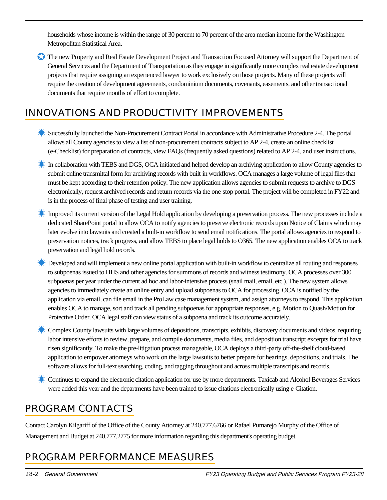households whose income is within the range of 30 percent to 70 percent of the area median income for the Washington Metropolitan Statistical Area.

✪ The new Property and Real Estate Development Project and Transaction Focused Attorney will support the Department of General Services and the Department of Transportation as they engage in significantly more complex real estate development projects that require assigning an experienced lawyer to work exclusively on those projects. Many of these projects will require the creation of development agreements, condominium documents, covenants, easements, and other transactional documents that require months of effort to complete.

## INNOVATIONS AND PRODUCTIVITY IMPROVEMENTS

- ✹ Successfully launched the Non-Procurement Contract Portal in accordance with Administrative Procedure 2-4. The portal allows all County agencies to view a list of non-procurement contracts subject to AP 2-4, create an online checklist (e-Checklist) for preparation of contracts, view FAQs (frequently asked questions) related to AP 2-4, and user instructions.
- **K** In collaboration with TEBS and DGS, OCA initiated and helped develop an archiving application to allow County agencies to submit online transmittal form for archiving records with built-in workflows. OCA manages a large volume of legal files that must be kept according to their retention policy. The new application allows agencies to submit requests to archive to DGS electronically, request archived records and return records via the one-stop portal. The project will be completed in FY22 and is in the process of final phase of testing and user training.
- ✹ Improved its current version of the Legal Hold application by developing a preservation process. The new processes include a dedicated SharePoint portal to allow OCA to notify agencies to preserve electronic records upon Notice of Claims which may later evolve into lawsuits and created a built-in workflow to send email notifications. The portal allows agencies to respond to preservation notices, track progress, and allow TEBS to place legal holds to O365. The new application enables OCA to track preservation and legal hold records.
- ✹ Developed and will implement a new online portal application with built-in workflow to centralize all routing and responses to subpoenas issued to HHS and other agencies for summons of records and witness testimony. OCA processes over 300 subpoenas per year under the current ad hoc and labor-intensive process (snail mail, email, etc.). The new system allows agencies to immediately create an online entry and upload subpoenas to OCA for processing. OCA is notified by the application via email, can file email in the ProLaw case management system, and assign attorneys to respond. This application enables OCA to manage, sort and track all pending subpoenas for appropriate responses, e.g. Motion to Quash/Motion for Protective Order. OCA legal staff can view status of a subpoena and track its outcome accurately.
- ✹ Complex County lawsuits with large volumes of depositions, transcripts, exhibits, discovery documents and videos, requiring labor intensive efforts to review, prepare, and compile documents, media files, and deposition transcript excerpts for trial have risen significantly. To make the pre-litigation process manageable, OCA deploys a third-party off-the-shelf cloud-based application to empower attorneys who work on the large lawsuits to better prepare for hearings, depositions, and trials. The software allows for full-text searching, coding, and tagging throughout and across multiple transcripts and records.
- ✹ Continues to expand the electronic citation application for use by more departments. Taxicab and Alcohol Beverages Services were added this year and the departments have been trained to issue citations electronically using e-Citation.

## PROGRAM CONTACTS

Contact Carolyn Kilgariff of the Office of the County Attorney at 240.777.6766 or Rafael Pumarejo Murphy of the Office of Management and Budget at 240.777.2775 for more information regarding this department's operating budget.

## PROGRAM PERFORMANCE MEASURES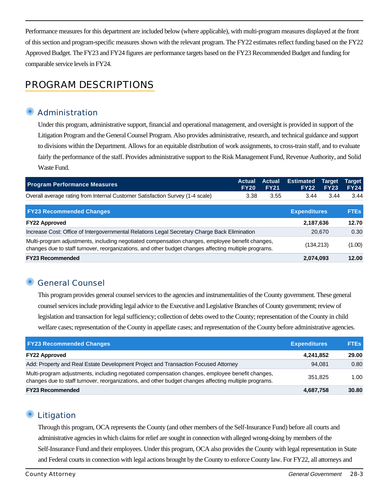Performance measures for this department are included below (where applicable), with multi-program measures displayed at the front of this section and program-specific measures shown with the relevant program. The FY22 estimates reflect funding based on the FY22 Approved Budget. The FY23 and FY24 figures are performance targets based on the FY23 Recommended Budget and funding for comparable service levels in FY24.

### PROGRAM DESCRIPTIONS

#### **Administration**

Under this program, administrative support, financial and operational management, and oversight is provided in support of the Litigation Program and the General Counsel Program. Also provides administrative, research, and technical guidance and support to divisions within the Department. Allows for an equitable distribution of work assignments, to cross-train staff, and to evaluate fairly the performance of the staff. Provides administrative support to the Risk Management Fund, Revenue Authority, and Solid Waste Fund.

| <b>Program Performance Measures</b>                                                                                                                                                                      | <b>Actual</b><br><b>FY20</b> | Actual<br><b>FY21</b> | <b>Estimated</b><br><b>FY22</b> | Target<br><b>FY23</b> | Target<br><b>FY24</b> |
|----------------------------------------------------------------------------------------------------------------------------------------------------------------------------------------------------------|------------------------------|-----------------------|---------------------------------|-----------------------|-----------------------|
| Overall average rating from Internal Customer Satisfaction Survey (1-4 scale)                                                                                                                            | 3.38                         | 3.55                  | 3.44                            | 3.44                  | 3.44                  |
| <b>FY23 Recommended Changes</b>                                                                                                                                                                          |                              |                       | <b>Expenditures</b>             |                       | <b>FTES</b>           |
| <b>FY22 Approved</b>                                                                                                                                                                                     |                              |                       | 2,187,636                       |                       | 12.70                 |
| Increase Cost: Office of Intergovernmental Relations Legal Secretary Charge Back Elimination                                                                                                             |                              |                       |                                 | 20,670                | 0.30                  |
| Multi-program adjustments, including negotiated compensation changes, employee benefit changes,<br>changes due to staff turnover, reorganizations, and other budget changes affecting multiple programs. |                              |                       | (134, 213)                      |                       | (1.00)                |
| <b>FY23 Recommended</b>                                                                                                                                                                                  |                              |                       | 2,074,093                       |                       | 12.00                 |

#### ✺ General Counsel

This program provides general counsel services to the agencies and instrumentalities of the County government. These general counsel services include providing legal advice to the Executive and Legislative Branches of County government; review of legislation and transaction for legal sufficiency; collection of debts owed to the County; representation of the County in child welfare cases; representation of the County in appellate cases; and representation of the County before administrative agencies.

| <b>FY23 Recommended Changes</b>                                                                                                                                                                          | <b>Expenditures</b> | <b>FTEs</b> |
|----------------------------------------------------------------------------------------------------------------------------------------------------------------------------------------------------------|---------------------|-------------|
| <b>FY22 Approved</b>                                                                                                                                                                                     | 4,241,852           | 29.00       |
| Add: Property and Real Estate Development Project and Transaction Focused Attorney                                                                                                                       | 94.081              | 0.80        |
| Multi-program adjustments, including negotiated compensation changes, employee benefit changes,<br>changes due to staff turnover, reorganizations, and other budget changes affecting multiple programs. | 351.825             | 1.00        |
| <b>FY23 Recommended</b>                                                                                                                                                                                  | 4,687,758           | 30.80       |

#### ✺ Litigation

Through this program, OCA represents the County (and other members of the Self-Insurance Fund) before all courts and administrative agencies in which claims for relief are sought in connection with alleged wrong-doing by members of the Self-Insurance Fund and their employees. Under this program, OCA also provides the County with legal representation in State and Federal courts in connection with legal actions brought by the County to enforce County law. For FY22, all attorneys and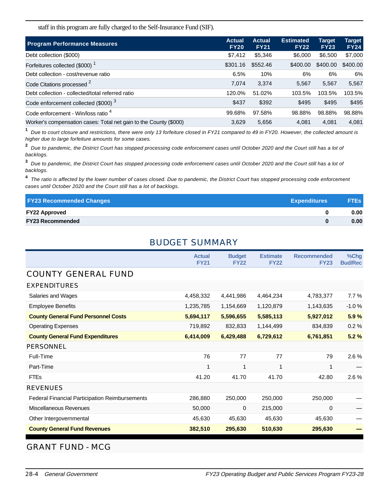staff in this program are fully charged to the Self-Insurance Fund (SIF).

| <b>Program Performance Measures</b>                               | <b>Actual</b><br><b>FY20</b> | <b>Actual</b><br><b>FY21</b> | <b>Estimated</b><br><b>FY22</b> | <b>Target</b><br><b>FY23</b> | Target<br><b>FY24</b> |
|-------------------------------------------------------------------|------------------------------|------------------------------|---------------------------------|------------------------------|-----------------------|
| Debt collection (\$000)                                           | \$7,412                      | \$5,346                      | \$6,000                         | \$6,500                      | \$7,000               |
| Forfeitures collected (\$000) <sup>1</sup>                        | \$301.16                     | \$552.46                     | \$400.00                        | \$400.00                     | \$400.00              |
| Debt collection - cost/revenue ratio                              | 6.5%                         | 10%                          | 6%                              | 6%                           | 6%                    |
| Code Citations processed <sup>2</sup>                             | 7,074                        | 3,374                        | 5,567                           | 5,567                        | 5,567                 |
| Debt collection - collected/total referred ratio                  | 120.0%                       | 51.02%                       | 103.5%                          | 103.5%                       | 103.5%                |
| Code enforcement collected (\$000) <sup>3</sup>                   | \$437                        | \$392                        | \$495                           | \$495                        | \$495                 |
| Code enforcement - Win/loss ratio 4                               | 99.68%                       | 97.58%                       | 98.88%                          | 98.88%                       | 98.88%                |
| Worker's compensation cases: Total net gain to the County (\$000) | 3,629                        | 5,656                        | 4.081                           | 4.081                        | 4,081                 |

**1** Due to court closure and restrictions, there were only 13 forfeiture closed in FY21 compared to 49 in FY20. However, the collected amount is higher due to large forfeiture amounts for some cases.

**2** Due to pandemic, the District Court has stopped processing code enforcement cases until October 2020 and the Court still has a lot of backlogs.

**3** Due to pandemic, the District Court has stopped processing code enforcement cases until October 2020 and the Court still has a lot of backlogs.

**4** The ratio is affected by the lower number of cases closed. Due to pandemic, the District Court has stopped processing code enforcement cases until October 2020 and the Court still has a lot of backlogs.

| <b>FY23 Recommended Changes</b> | <b>Expenditures</b> | <b>FTEs</b>       |
|---------------------------------|---------------------|-------------------|
| <b>FY22 Approved</b>            |                     | 0.00 <sub>1</sub> |
| <b>FY23 Recommended</b>         |                     | 0.00              |

#### BUDGET SUMMARY

|                                                       | <b>Actual</b><br><b>FY21</b> | <b>Budget</b><br><b>FY22</b> | <b>Estimate</b><br><b>FY22</b> | <b>Recommended</b><br><b>FY23</b> | %Chg<br><b>Bud/Rec</b> |
|-------------------------------------------------------|------------------------------|------------------------------|--------------------------------|-----------------------------------|------------------------|
| <b>COUNTY GENERAL FUND</b>                            |                              |                              |                                |                                   |                        |
| <b>EXPENDITURES</b>                                   |                              |                              |                                |                                   |                        |
| Salaries and Wages                                    | 4,458,332                    | 4,441,986                    | 4,464,234                      | 4,783,377                         | 7.7%                   |
| <b>Employee Benefits</b>                              | 1,235,785                    | 1,154,669                    | 1,120,879                      | 1,143,635                         | $-1.0%$                |
| <b>County General Fund Personnel Costs</b>            | 5,694,117                    | 5,596,655                    | 5,585,113                      | 5,927,012                         | 5.9%                   |
| <b>Operating Expenses</b>                             | 719,892                      | 832,833                      | 1,144,499                      | 834,839                           | 0.2%                   |
| <b>County General Fund Expenditures</b>               | 6,414,009                    | 6,429,488                    | 6,729,612                      | 6,761,851                         | 5.2%                   |
| <b>PERSONNEL</b>                                      |                              |                              |                                |                                   |                        |
| Full-Time                                             | 76                           | 77                           | 77                             | 79                                | 2.6%                   |
| Part-Time                                             | 1                            | 1                            | 1                              | 1                                 |                        |
| <b>FTEs</b>                                           | 41.20                        | 41.70                        | 41.70                          | 42.80                             | 2.6%                   |
| <b>REVENUES</b>                                       |                              |                              |                                |                                   |                        |
| <b>Federal Financial Participation Reimbursements</b> | 286,880                      | 250,000                      | 250,000                        | 250,000                           |                        |
| <b>Miscellaneous Revenues</b>                         | 50,000                       | $\mathbf 0$                  | 215,000                        | 0                                 |                        |
| Other Intergovernmental                               | 45,630                       | 45,630                       | 45,630                         | 45,630                            |                        |
| <b>County General Fund Revenues</b>                   | 382,510                      | 295,630                      | 510,630                        | 295,630                           |                        |

GRANT FUND - MCG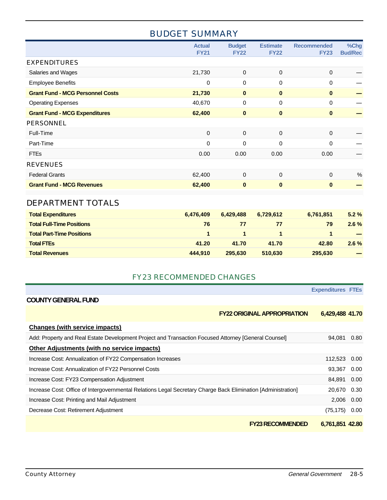#### BUDGET SUMMARY

|                                         | <b>Actual</b><br><b>FY21</b> | <b>Budget</b><br><b>FY22</b> | <b>Estimate</b><br><b>FY22</b> | <b>Recommended</b><br><b>FY23</b> | %Chg<br><b>Bud/Rec</b> |
|-----------------------------------------|------------------------------|------------------------------|--------------------------------|-----------------------------------|------------------------|
| <b>EXPENDITURES</b>                     |                              |                              |                                |                                   |                        |
| Salaries and Wages                      | 21,730                       | $\mathbf 0$                  | $\mathbf 0$                    | $\mathbf 0$                       |                        |
| <b>Employee Benefits</b>                | 0                            | $\mathbf 0$                  | $\mathbf 0$                    | 0                                 |                        |
| <b>Grant Fund - MCG Personnel Costs</b> | 21,730                       | $\mathbf 0$                  | $\bf{0}$                       | $\bf{0}$                          |                        |
| <b>Operating Expenses</b>               | 40,670                       | $\mathbf 0$                  | $\mathbf 0$                    | 0                                 |                        |
| <b>Grant Fund - MCG Expenditures</b>    | 62,400                       | $\bf{0}$                     | $\bf{0}$                       | $\bf{0}$                          |                        |
| <b>PERSONNEL</b>                        |                              |                              |                                |                                   |                        |
| Full-Time                               | $\mathbf 0$                  | $\mathbf 0$                  | $\mathbf 0$                    | $\mathbf 0$                       |                        |
| Part-Time                               | 0                            | $\mathbf 0$                  | $\mathbf 0$                    | $\mathbf 0$                       |                        |
| <b>FTEs</b>                             | 0.00                         | 0.00                         | 0.00                           | 0.00                              |                        |
| <b>REVENUES</b>                         |                              |                              |                                |                                   |                        |
| <b>Federal Grants</b>                   | 62,400                       | $\mathbf{0}$                 | $\mathbf 0$                    | $\mathbf 0$                       | %                      |
| <b>Grant Fund - MCG Revenues</b>        | 62,400                       | $\bf{0}$                     | $\bf{0}$                       | $\mathbf{0}$                      |                        |
|                                         |                              |                              |                                |                                   |                        |
| <b>DEPARTMENT TOTALS</b>                |                              |                              |                                |                                   |                        |

| <b>Total Expenditures</b>        | 6.476.409 | 6.429.488 | 6.729.612 | 6.761.851 | $5.2\%$                                                                                                                                                                                                                                                                                                                                                                                                                                                                    |
|----------------------------------|-----------|-----------|-----------|-----------|----------------------------------------------------------------------------------------------------------------------------------------------------------------------------------------------------------------------------------------------------------------------------------------------------------------------------------------------------------------------------------------------------------------------------------------------------------------------------|
| <b>Total Full-Time Positions</b> | 76        | 77        | 77        | 79        | $2.6\%$                                                                                                                                                                                                                                                                                                                                                                                                                                                                    |
| <b>Total Part-Time Positions</b> |           |           |           |           |                                                                                                                                                                                                                                                                                                                                                                                                                                                                            |
| <b>Total FTEs</b>                | 41.20     | 41.70     | 41.70     | 42.80     | $2.6\%$                                                                                                                                                                                                                                                                                                                                                                                                                                                                    |
| <b>Total Revenues</b>            | 444.910   | 295,630   | 510,630   | 295.630   | $\frac{1}{2} \left( \frac{1}{2} \right) \left( \frac{1}{2} \right) \left( \frac{1}{2} \right) \left( \frac{1}{2} \right) \left( \frac{1}{2} \right) \left( \frac{1}{2} \right) \left( \frac{1}{2} \right) \left( \frac{1}{2} \right) \left( \frac{1}{2} \right) \left( \frac{1}{2} \right) \left( \frac{1}{2} \right) \left( \frac{1}{2} \right) \left( \frac{1}{2} \right) \left( \frac{1}{2} \right) \left( \frac{1}{2} \right) \left( \frac{1}{2} \right) \left( \frac$ |

#### FY23 RECOMMENDED CHANGES

|                                                                                                               | <b>Expenditures FTES</b> |      |
|---------------------------------------------------------------------------------------------------------------|--------------------------|------|
| <b>COUNTY GENERAL FUND</b>                                                                                    |                          |      |
| <b>FY22 ORIGINAL APPROPRIATION</b>                                                                            | 6,429,488 41.70          |      |
| <b>Changes (with service impacts)</b>                                                                         |                          |      |
| Add: Property and Real Estate Development Project and Transaction Focused Attorney [General Counsel]          | 94,081                   | 0.80 |
| Other Adjustments (with no service impacts)                                                                   |                          |      |
| Increase Cost: Annualization of FY22 Compensation Increases                                                   | 112,523                  | 0.00 |
| Increase Cost: Annualization of FY22 Personnel Costs                                                          | 93,367                   | 0.00 |
| Increase Cost: FY23 Compensation Adjustment                                                                   | 84,891                   | 0.00 |
| Increase Cost: Office of Intergovernmental Relations Legal Secretary Charge Back Elimination [Administration] | 20,670                   | 0.30 |
| Increase Cost: Printing and Mail Adjustment                                                                   | 2,006                    | 0.00 |
| Decrease Cost: Retirement Adjustment                                                                          | (75, 175)                | 0.00 |
| <b>FY23 RECOMMENDED</b>                                                                                       | 6,761,851 42.80          |      |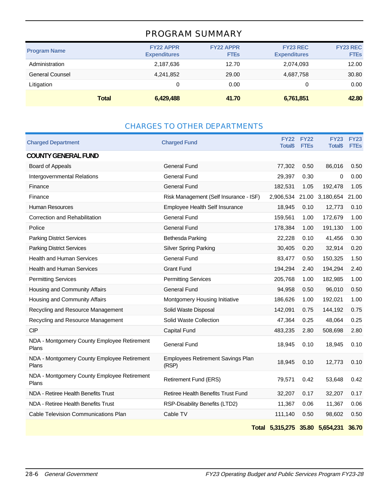#### PROGRAM SUMMARY

| <b>Program Name</b>    |              | <b>FY22 APPR</b><br><b>Expenditures</b> | <b>FY22 APPR</b><br><b>FTEs</b> | <b>FY23 REC</b><br><b>Expenditures</b> | <b>FY23 REC</b><br><b>FTEs</b> |
|------------------------|--------------|-----------------------------------------|---------------------------------|----------------------------------------|--------------------------------|
| Administration         |              | 2,187,636                               | 12.70                           | 2,074,093                              | 12.00                          |
| <b>General Counsel</b> |              | 4,241,852                               | 29.00                           | 4,687,758                              | 30.80                          |
| Litigation             |              | 0                                       | 0.00                            | 0                                      | 0.00                           |
|                        | <b>Total</b> | 6,429,488                               | 41.70                           | 6,761,851                              | 42.80                          |

#### CHARGES TO OTHER DEPARTMENTS

| <b>Charged Department</b>                            | <b>Charged Fund</b>                               | <b>FY22</b><br><b>Total</b> \$  | <b>FY22</b><br><b>FTEs</b> | <b>FY23</b><br><b>Total</b> \$ | <b>FY23</b><br><b>FTE<sub>s</sub></b> |
|------------------------------------------------------|---------------------------------------------------|---------------------------------|----------------------------|--------------------------------|---------------------------------------|
| <b>COUNTY GENERAL FUND</b>                           |                                                   |                                 |                            |                                |                                       |
| Board of Appeals                                     | <b>General Fund</b>                               | 77,302                          | 0.50                       | 86,016                         | 0.50                                  |
| Intergovernmental Relations                          | General Fund                                      | 29,397                          | 0.30                       | 0                              | 0.00                                  |
| Finance                                              | <b>General Fund</b>                               | 182,531                         | 1.05                       | 192,478                        | 1.05                                  |
| Finance                                              | Risk Management (Self Insurance - ISF)            | 2,906,534                       | 21.00                      | 3,180,654                      | 21.00                                 |
| <b>Human Resources</b>                               | Employee Health Self Insurance                    | 18,945                          | 0.10                       | 12,773                         | 0.10                                  |
| Correction and Rehabilitation                        | <b>General Fund</b>                               | 159,561                         | 1.00                       | 172,679                        | 1.00                                  |
| Police                                               | <b>General Fund</b>                               | 178,384                         | 1.00                       | 191,130                        | 1.00                                  |
| <b>Parking District Services</b>                     | Bethesda Parking                                  | 22,228                          | 0.10                       | 41,456                         | 0.30                                  |
| <b>Parking District Services</b>                     | <b>Silver Spring Parking</b>                      | 30,405                          | 0.20                       | 32,914                         | 0.20                                  |
| Health and Human Services                            | <b>General Fund</b>                               | 83,477                          | 0.50                       | 150,325                        | 1.50                                  |
| <b>Health and Human Services</b>                     | <b>Grant Fund</b>                                 | 194,294                         | 2.40                       | 194,294                        | 2.40                                  |
| <b>Permitting Services</b>                           | <b>Permitting Services</b>                        | 205,768                         | 1.00                       | 182,985                        | 1.00                                  |
| Housing and Community Affairs                        | <b>General Fund</b>                               | 94,958                          | 0.50                       | 96,010                         | 0.50                                  |
| Housing and Community Affairs                        | Montgomery Housing Initiative                     | 186,626                         | 1.00                       | 192,021                        | 1.00                                  |
| Recycling and Resource Management                    | Solid Waste Disposal                              | 142,091                         | 0.75                       | 144,192                        | 0.75                                  |
| Recycling and Resource Management                    | Solid Waste Collection                            | 47,364                          | 0.25                       | 48,064                         | 0.25                                  |
| <b>CIP</b>                                           | Capital Fund                                      | 483,235                         | 2.80                       | 508,698                        | 2.80                                  |
| NDA - Montgomery County Employee Retirement<br>Plans | <b>General Fund</b>                               | 18,945                          | 0.10                       | 18,945                         | 0.10                                  |
| NDA - Montgomery County Employee Retirement<br>Plans | <b>Employees Retirement Savings Plan</b><br>(RSP) | 18,945                          | 0.10                       | 12,773                         | 0.10                                  |
| NDA - Montgomery County Employee Retirement<br>Plans | Retirement Fund (ERS)                             | 79,571                          | 0.42                       | 53,648                         | 0.42                                  |
| NDA - Retiree Health Benefits Trust                  | Retiree Health Benefits Trust Fund                | 32,207                          | 0.17                       | 32,207                         | 0.17                                  |
| NDA - Retiree Health Benefits Trust                  | RSP-Disability Benefits (LTD2)                    | 11,367                          | 0.06                       | 11,367                         | 0.06                                  |
| Cable Television Communications Plan                 | Cable TV                                          | 111,140                         | 0.50                       | 98,602                         | 0.50                                  |
|                                                      |                                                   | Total 5,315,275 35.80 5,654,231 |                            |                                | 36.70                                 |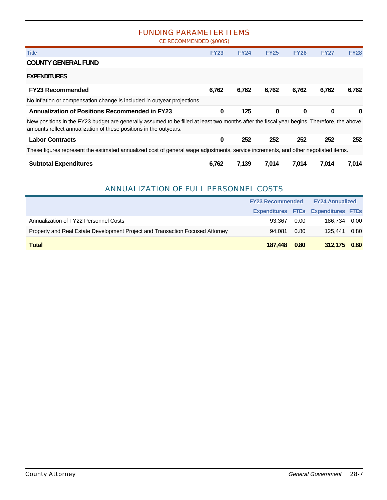#### FUNDING PARAMETER ITEMS

CE RECOMMENDED (\$000S)

| <b>Title</b>                                                                                                                                                                                                    | <b>FY23</b> | <b>FY24</b> | <b>FY25</b> | <b>FY26</b> | <b>FY27</b> | <b>FY28</b> |
|-----------------------------------------------------------------------------------------------------------------------------------------------------------------------------------------------------------------|-------------|-------------|-------------|-------------|-------------|-------------|
| <b>COUNTY GENERAL FUND</b>                                                                                                                                                                                      |             |             |             |             |             |             |
| <b>EXPENDITURES</b>                                                                                                                                                                                             |             |             |             |             |             |             |
| <b>FY23 Recommended</b>                                                                                                                                                                                         | 6,762       | 6,762       | 6,762       | 6,762       | 6,762       | 6,762       |
| No inflation or compensation change is included in outyear projections.                                                                                                                                         |             |             |             |             |             |             |
| <b>Annualization of Positions Recommended in FY23</b>                                                                                                                                                           | $\bf{0}$    | 125         | $\bf{0}$    | $\bf{0}$    | $\bf{0}$    | 0           |
| New positions in the FY23 budget are generally assumed to be filled at least two months after the fiscal year begins. Therefore, the above<br>amounts reflect annualization of these positions in the outyears. |             |             |             |             |             |             |
| <b>Labor Contracts</b>                                                                                                                                                                                          | 0           | 252         | 252         | 252         | 252         | 252         |
| These figures represent the estimated annualized cost of general wage adjustments, service increments, and other negotiated items.                                                                              |             |             |             |             |             |             |
| <b>Subtotal Expenditures</b>                                                                                                                                                                                    | 6,762       | 7,139       | 7,014       | 7,014       | 7,014       | 7,014       |

#### ANNUALIZATION OF FULL PERSONNEL COSTS

|                                                                               | <b>FY23 Recommended</b> |      | <b>EY24 Annualized</b>                     |  |
|-------------------------------------------------------------------------------|-------------------------|------|--------------------------------------------|--|
|                                                                               |                         |      | <b>Expenditures FTEs Expenditures FTEs</b> |  |
| Annualization of FY22 Personnel Costs                                         | 93.367                  | 0.00 | 186,734 0.00                               |  |
| Property and Real Estate Development Project and Transaction Focused Attorney | 94.081                  | 0.80 | 125.441 0.80                               |  |
| <b>Total</b>                                                                  | 187.448                 | 0.80 | 312,175 0.80                               |  |